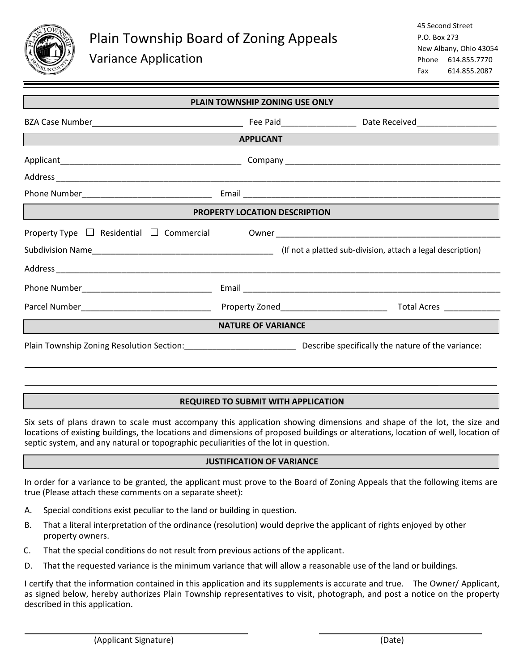

 $\overline{a}$ 

 $\overline{a}$ 

\_\_\_\_\_\_\_\_\_\_\_\_\_

| <b>PLAIN TOWNSHIP ZONING USE ONLY</b>                                          |  |                                                                                   |  |  |
|--------------------------------------------------------------------------------|--|-----------------------------------------------------------------------------------|--|--|
|                                                                                |  |                                                                                   |  |  |
| <b>APPLICANT</b><br><u> 1989 - Johann Stoff, amerikansk politiker (* 1908)</u> |  |                                                                                   |  |  |
|                                                                                |  |                                                                                   |  |  |
|                                                                                |  |                                                                                   |  |  |
|                                                                                |  |                                                                                   |  |  |
| <b>PROPERTY LOCATION DESCRIPTION</b>                                           |  |                                                                                   |  |  |
|                                                                                |  | Property Type □ Residential □ Commercial Owner __________________________________ |  |  |
|                                                                                |  | Subdivision Name<br>Subdivision, attach a legal description)                      |  |  |
|                                                                                |  |                                                                                   |  |  |
|                                                                                |  |                                                                                   |  |  |
|                                                                                |  |                                                                                   |  |  |
| <b>NATURE OF VARIANCE</b>                                                      |  |                                                                                   |  |  |
|                                                                                |  |                                                                                   |  |  |

# **REQUIRED TO SUBMIT WITH APPLICATION**

Six sets of plans drawn to scale must accompany this application showing dimensions and shape of the lot, the size and locations of existing buildings, the locations and dimensions of proposed buildings or alterations, location of well, location of septic system, and any natural or topographic peculiarities of the lot in question.

# **JUSTIFICATION OF VARIANCE**

In order for a variance to be granted, the applicant must prove to the Board of Zoning Appeals that the following items are true (Please attach these comments on a separate sheet):

- A. Special conditions exist peculiar to the land or building in question.
- B. That a literal interpretation of the ordinance (resolution) would deprive the applicant of rights enjoyed by other property owners.
- C. That the special conditions do not result from previous actions of the applicant.
- D. That the requested variance is the minimum variance that will allow a reasonable use of the land or buildings.

I certify that the information contained in this application and its supplements is accurate and true. The Owner/ Applicant, as signed below, hereby authorizes Plain Township representatives to visit, photograph, and post a notice on the property described in this application.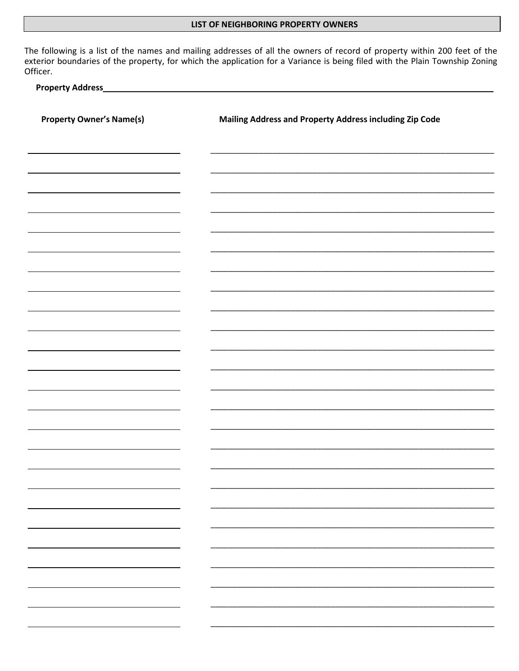### LIST OF NEIGHBORING PROPERTY OWNERS

The following is a list of the names and mailing addresses of all the owners of record of property within 200 feet of the exterior boundaries of the property, for which the application for a Variance is being filed with the Plain Township Zoning Officer.

#### **Property Address**

| <b>Property Owner's Name(s)</b>                  | Mailing Address and Property Address including Zip Code |  |  |
|--------------------------------------------------|---------------------------------------------------------|--|--|
|                                                  |                                                         |  |  |
|                                                  |                                                         |  |  |
|                                                  |                                                         |  |  |
|                                                  |                                                         |  |  |
|                                                  |                                                         |  |  |
|                                                  |                                                         |  |  |
|                                                  |                                                         |  |  |
|                                                  |                                                         |  |  |
|                                                  |                                                         |  |  |
|                                                  |                                                         |  |  |
|                                                  |                                                         |  |  |
|                                                  |                                                         |  |  |
|                                                  |                                                         |  |  |
|                                                  |                                                         |  |  |
|                                                  |                                                         |  |  |
|                                                  |                                                         |  |  |
|                                                  | —                                                       |  |  |
| $\sim$ $\sim$                                    |                                                         |  |  |
| <u>estas de la p</u>                             |                                                         |  |  |
| $\frac{1}{2}$                                    |                                                         |  |  |
| $\overline{\phantom{a}}$<br><u>and</u> the state | -<br>—                                                  |  |  |
| <b>Property</b>                                  |                                                         |  |  |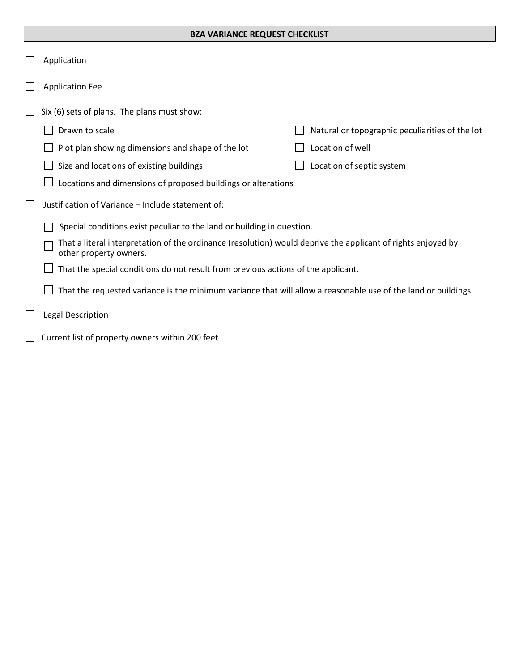### **BZA VARIANCE REQUEST CHECKLIST**

|              | Application                                                                                                                            |                                                 |  |
|--------------|----------------------------------------------------------------------------------------------------------------------------------------|-------------------------------------------------|--|
|              | <b>Application Fee</b>                                                                                                                 |                                                 |  |
|              | Six (6) sets of plans. The plans must show:                                                                                            |                                                 |  |
|              | Drawn to scale                                                                                                                         | Natural or topographic peculiarities of the lot |  |
|              | Plot plan showing dimensions and shape of the lot                                                                                      | Location of well                                |  |
|              | Size and locations of existing buildings                                                                                               | Location of septic system                       |  |
|              | Locations and dimensions of proposed buildings or alterations                                                                          |                                                 |  |
| $\mathbf{L}$ | Justification of Variance - Include statement of:                                                                                      |                                                 |  |
|              | Special conditions exist peculiar to the land or building in question.                                                                 |                                                 |  |
|              | That a literal interpretation of the ordinance (resolution) would deprive the applicant of rights enjoyed by<br>other property owners. |                                                 |  |
|              | That the special conditions do not result from previous actions of the applicant.                                                      |                                                 |  |
|              | That the requested variance is the minimum variance that will allow a reasonable use of the land or buildings.                         |                                                 |  |
|              | <b>Legal Description</b>                                                                                                               |                                                 |  |
|              | Current list of property owners within 200 feet                                                                                        |                                                 |  |